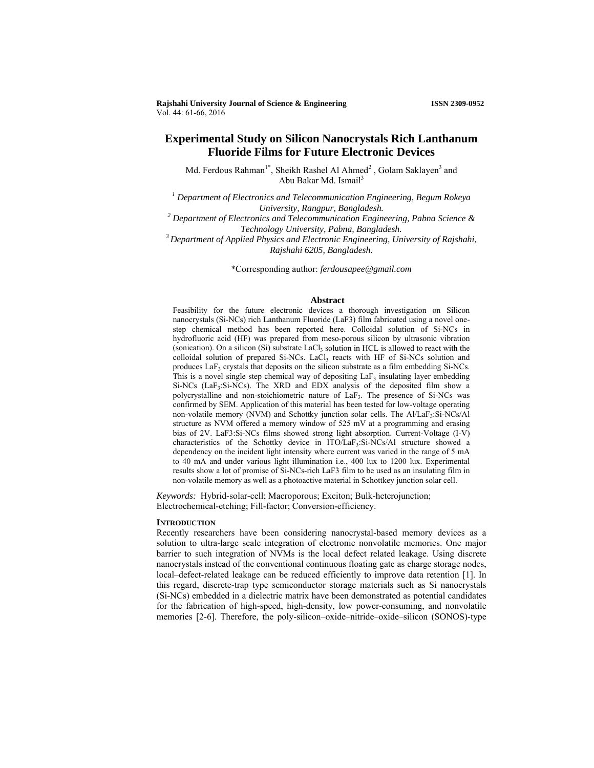**Rajshahi University Journal of Science & Engineering ISSN 2309-0952** Vol. 44: 61-66, 2016

# **Experimental Study on Silicon Nanocrystals Rich Lanthanum Fluoride Films for Future Electronic Devices**

Md. Ferdous Rahman<sup>1\*</sup>, Sheikh Rashel Al Ahmed<sup>2</sup>, Golam Saklayen<sup>3</sup> and Abu Bakar Md. Ismail<sup>3</sup>

<sup>1</sup> Department of Electronics and Telecommunication Engineering, Begum Rokeya *University, Rangpur, Bangladesh. 2 Department of Electronics and Telecommunication Engineering, Pabna Science &* 

*Technology University, Pabna, Bangladesh. 3 Department of Applied Physics and Electronic Engineering, University of Rajshahi,* 

*Rajshahi 6205, Bangladesh.*

\*Corresponding author: *ferdousapee@gmail.com*

## **Abstract**

Feasibility for the future electronic devices a thorough investigation on Silicon nanocrystals (Si-NCs) rich Lanthanum Fluoride (LaF3) film fabricated using a novel onestep chemical method has been reported here. Colloidal solution of Si-NCs in hydrofluoric acid (HF) was prepared from meso-porous silicon by ultrasonic vibration (sonication). On a silicon  $(Si)$  substrate  $LaCl<sub>3</sub>$  solution in HCL is allowed to react with the colloidal solution of prepared Si-NCs. LaCl<sub>3</sub> reacts with HF of Si-NCs solution and produces LaF<sub>3</sub> crystals that deposits on the silicon substrate as a film embedding Si-NCs. This is a novel single step chemical way of depositing LaF<sub>3</sub> insulating layer embedding Si-NCs ( $LaF_3:Si-NCs$ ). The XRD and EDX analysis of the deposited film show a polycrystalline and non-stoichiometric nature of LaF3. The presence of Si-NCs was confirmed by SEM. Application of this material has been tested for low-voltage operating non-volatile memory (NVM) and Schottky junction solar cells. The Al/LaF3:Si-NCs/Al structure as NVM offered a memory window of 525 mV at a programming and erasing bias of 2V. LaF3:Si-NCs films showed strong light absorption. Current-Voltage (I-V) characteristics of the Schottky device in ITO/LaF<sub>3</sub>:Si-NCs/Al structure showed a dependency on the incident light intensity where current was varied in the range of 5 mA to 40 mA and under various light illumination i.e., 400 lux to 1200 lux. Experimental results show a lot of promise of Si-NCs-rich LaF3 film to be used as an insulating film in non-volatile memory as well as a photoactive material in Schottkey junction solar cell.

*Keywords:* Hybrid-solar-cell; Macroporous; Exciton; Bulk-heterojunction; Electrochemical-etching; Fill-factor; Conversion-efficiency.

### **INTRODUCTION**

Recently researchers have been considering nanocrystal-based memory devices as a solution to ultra-large scale integration of electronic nonvolatile memories. One major barrier to such integration of NVMs is the local defect related leakage. Using discrete nanocrystals instead of the conventional continuous floating gate as charge storage nodes, local–defect-related leakage can be reduced efficiently to improve data retention [1]. In this regard, discrete-trap type semiconductor storage materials such as Si nanocrystals (Si-NCs) embedded in a dielectric matrix have been demonstrated as potential candidates for the fabrication of high-speed, high-density, low power-consuming, and nonvolatile memories [2-6]. Therefore, the poly-silicon–oxide–nitride–oxide–silicon (SONOS)-type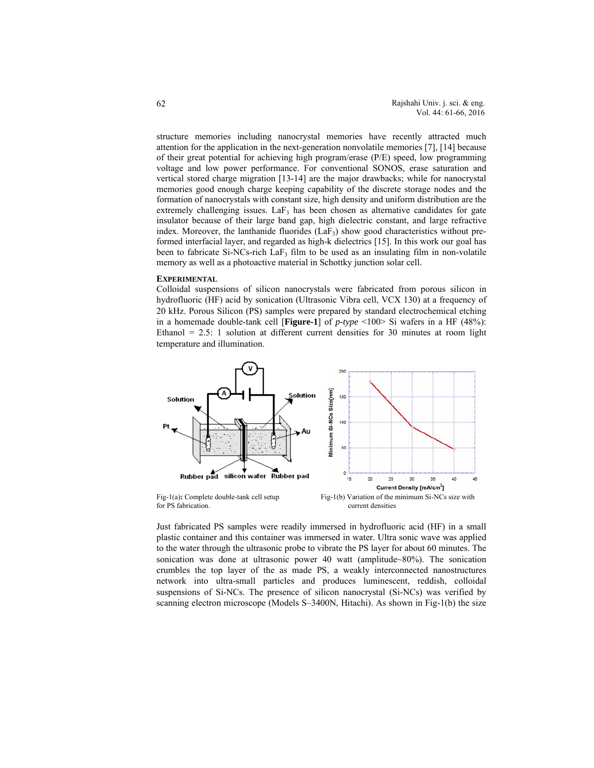structure memories including nanocrystal memories have recently attracted much attention for the application in the next-generation nonvolatile memories [7], [14] because of their great potential for achieving high program/erase (P/E) speed, low programming voltage and low power performance. For conventional SONOS, erase saturation and vertical stored charge migration [13-14] are the major drawbacks; while for nanocrystal memories good enough charge keeping capability of the discrete storage nodes and the formation of nanocrystals with constant size, high density and uniform distribution are the extremely challenging issues. La $F_3$  has been chosen as alternative candidates for gate insulator because of their large band gap, high dielectric constant, and large refractive index. Moreover, the lanthanide fluorides  $(LaF_3)$  show good characteristics without preformed interfacial layer, and regarded as high-k dielectrics [15]. In this work our goal has been to fabricate Si-NCs-rich LaF<sub>3</sub> film to be used as an insulating film in non-volatile memory as well as a photoactive material in Schottky junction solar cell.

## **EXPERIMENTAL**

Colloidal suspensions of silicon nanocrystals were fabricated from porous silicon in hydrofluoric (HF) acid by sonication (Ultrasonic Vibra cell, VCX 130) at a frequency of 20 kHz. Porous Silicon (PS) samples were prepared by standard electrochemical etching in a homemade double-tank cell [**Figure-1**] of *p-type* <100> Si wafers in a HF (48%): Ethanol  $= 2.5$ : 1 solution at different current densities for 30 minutes at room light temperature and illumination.



Just fabricated PS samples were readily immersed in hydrofluoric acid (HF) in a small plastic container and this container was immersed in water. Ultra sonic wave was applied to the water through the ultrasonic probe to vibrate the PS layer for about 60 minutes. The sonication was done at ultrasonic power 40 watt (amplitude~80%). The sonication crumbles the top layer of the as made PS, a weakly interconnected nanostructures network into ultra-small particles and produces luminescent, reddish, colloidal suspensions of Si-NCs. The presence of silicon nanocrystal (Si-NCs) was verified by scanning electron microscope (Models S–3400N, Hitachi). As shown in Fig-1(b) the size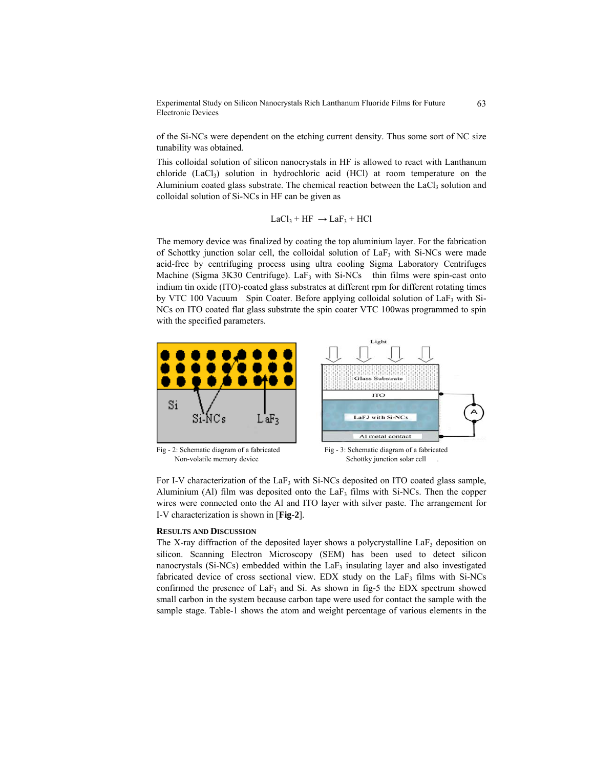Experimental Study on Silicon Nanocrystals Rich Lanthanum Fluoride Films for Future Electronic Devices

of the Si-NCs were dependent on the etching current density. Thus some sort of NC size tunability was obtained.

This colloidal solution of silicon nanocrystals in HF is allowed to react with Lanthanum chloride  $(LaCl<sub>3</sub>)$  solution in hydrochloric acid  $(HCl)$  at room temperature on the Aluminium coated glass substrate. The chemical reaction between the  $LaCl<sub>3</sub>$  solution and colloidal solution of Si-NCs in HF can be given as

$$
LaCl_3 + HF \rightarrow LaF_3 + HCl
$$

The memory device was finalized by coating the top aluminium layer. For the fabrication of Schottky junction solar cell, the colloidal solution of  $LaF<sub>3</sub>$  with Si-NCs were made acid-free by centrifuging process using ultra cooling Sigma Laboratory Centrifuges Machine (Sigma 3K30 Centrifuge). LaF<sub>3</sub> with Si-NCs thin films were spin-cast onto indium tin oxide (ITO)-coated glass substrates at different rpm for different rotating times by VTC 100 Vacuum Spin Coater. Before applying colloidal solution of LaF<sub>3</sub> with Si-NCs on ITO coated flat glass substrate the spin coater VTC 100was programmed to spin with the specified parameters.



For I-V characterization of the  $LaF<sub>3</sub>$  with Si-NCs deposited on ITO coated glass sample, Aluminium (Al) film was deposited onto the LaF<sub>3</sub> films with Si-NCs. Then the copper wires were connected onto the Al and ITO layer with silver paste. The arrangement for I-V characterization is shown in [**Fig-2**].

# **RESULTS AND DISCUSSION**

The X-ray diffraction of the deposited layer shows a polycrystalline  $LaF<sub>3</sub>$  deposition on silicon. Scanning Electron Microscopy (SEM) has been used to detect silicon nanocrystals (Si-NCs) embedded within the  $LaF<sub>3</sub>$  insulating layer and also investigated fabricated device of cross sectional view. EDX study on the  $LaF<sub>3</sub>$  films with Si-NCs confirmed the presence of LaF<sub>3</sub> and Si. As shown in fig-5 the EDX spectrum showed small carbon in the system because carbon tape were used for contact the sample with the sample stage. Table-1 shows the atom and weight percentage of various elements in the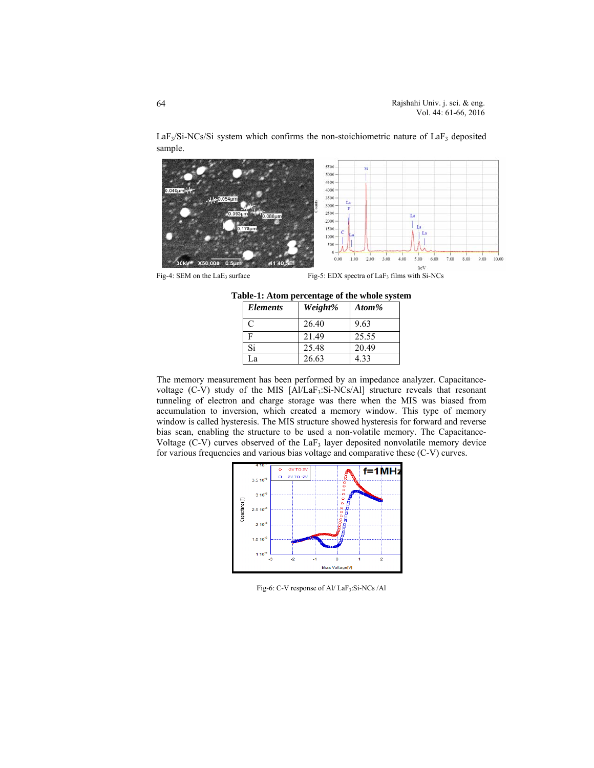5500 5000 4500 4000 3500 ü 3000 2500 L 2000 1500 Ť. 1000 500  $\Omega$  $4.00$  $5.00$  $7.00$  $9.00$ 3.00  $6.00$  $8.00$ 10.00 1.00 2.00 **X50,000**  $0.51$ keV

 $LaF<sub>3</sub>/Si-NCs/Si$  system which confirms the non-stoichiometric nature of  $LaF<sub>3</sub>$  deposited sample.

Fig-4: SEM on the LaE<sub>3</sub> surface Fig-5: EDX spectra of LaF<sub>3</sub> films with Si-NCs

| Table-1: Atom percentage of the whole system |  |  |  |  |
|----------------------------------------------|--|--|--|--|
|----------------------------------------------|--|--|--|--|

| <b>Elements</b> | Weight% | Atom% |
|-----------------|---------|-------|
| $\subset$       | 26.40   | 9.63  |
|                 | 21.49   | 25.55 |
| Si              | 25.48   | 20.49 |
| La              | 26.63   | 4.33  |

The memory measurement has been performed by an impedance analyzer. Capacitancevoltage (C-V) study of the MIS [Al/LaF<sub>3</sub>:Si-NCs/Al] structure reveals that resonant tunneling of electron and charge storage was there when the MIS was biased from accumulation to inversion, which created a memory window. This type of memory window is called hysteresis. The MIS structure showed hysteresis for forward and reverse bias scan, enabling the structure to be used a non-volatile memory. The Capacitance-Voltage  $(C-V)$  curves observed of the LaF<sub>3</sub> layer deposited nonvolatile memory device for various frequencies and various bias voltage and comparative these (C-V) curves.



Fig-6: C-V response of Al/ LaF<sub>3</sub>: Si-NCs /Al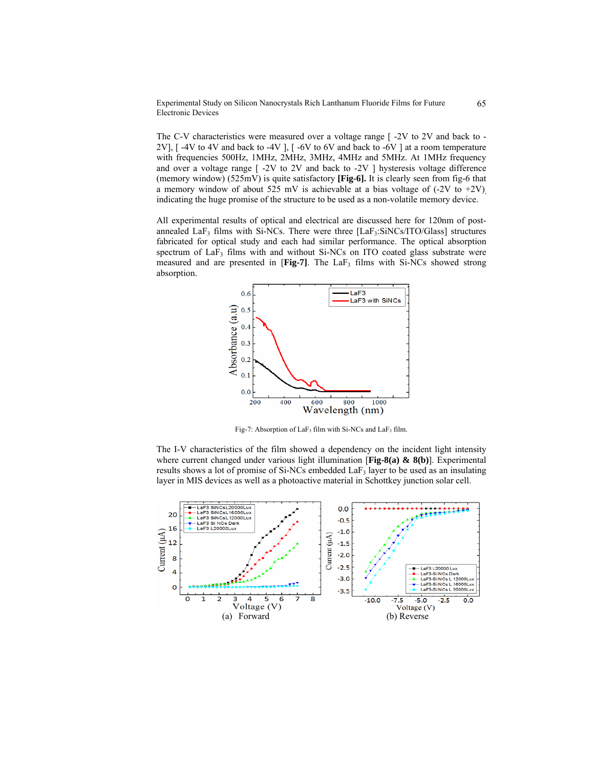# Experimental Study on Silicon Nanocrystals Rich Lanthanum Fluoride Films for Future Electronic Devices

The C-V characteristics were measured over a voltage range  $\lceil$  -2V to 2V and back to -2V], [ -4V to 4V and back to -4V ], [ -6V to 6V and back to -6V ] at a room temperature with frequencies 500Hz, 1MHz, 2MHz, 3MHz, 4MHz and 5MHz. At 1MHz frequency and over a voltage range  $\lceil 2V \cdot 2V \rceil$  and back to  $-2V \rceil$  hysteresis voltage difference (memory window) (525mV) is quite satisfactory **[Fig-6].** It is clearly seen from fig-6 that a memory window of about 525 mV is achievable at a bias voltage of  $(-2V \text{ to } +2V)$ indicating the huge promise of the structure to be used as a non-volatile memory device.

All experimental results of optical and electrical are discussed here for 120nm of postannealed  $LaF<sub>3</sub>$  films with Si-NCs. There were three  $[LaF<sub>3</sub>:SiNCs/ITO/Glass]$  structures fabricated for optical study and each had similar performance. The optical absorption spectrum of  $LaF_3$  films with and without Si-NCs on ITO coated glass substrate were measured and are presented in [Fig-7]. The LaF<sub>3</sub> films with Si-NCs showed strong absorption.



Fig-7: Absorption of  $LaF_3$  film with Si-NCs and  $LaF_3$  film.

The I-V characteristics of the film showed a dependency on the incident light intensity where current changed under various light illumination [**Fig-8(a) & 8(b)**]. Experimental results shows a lot of promise of Si-NCs embedded  $LaF<sub>3</sub>$  layer to be used as an insulating layer in MIS devices as well as a photoactive material in Schottkey junction solar cell.